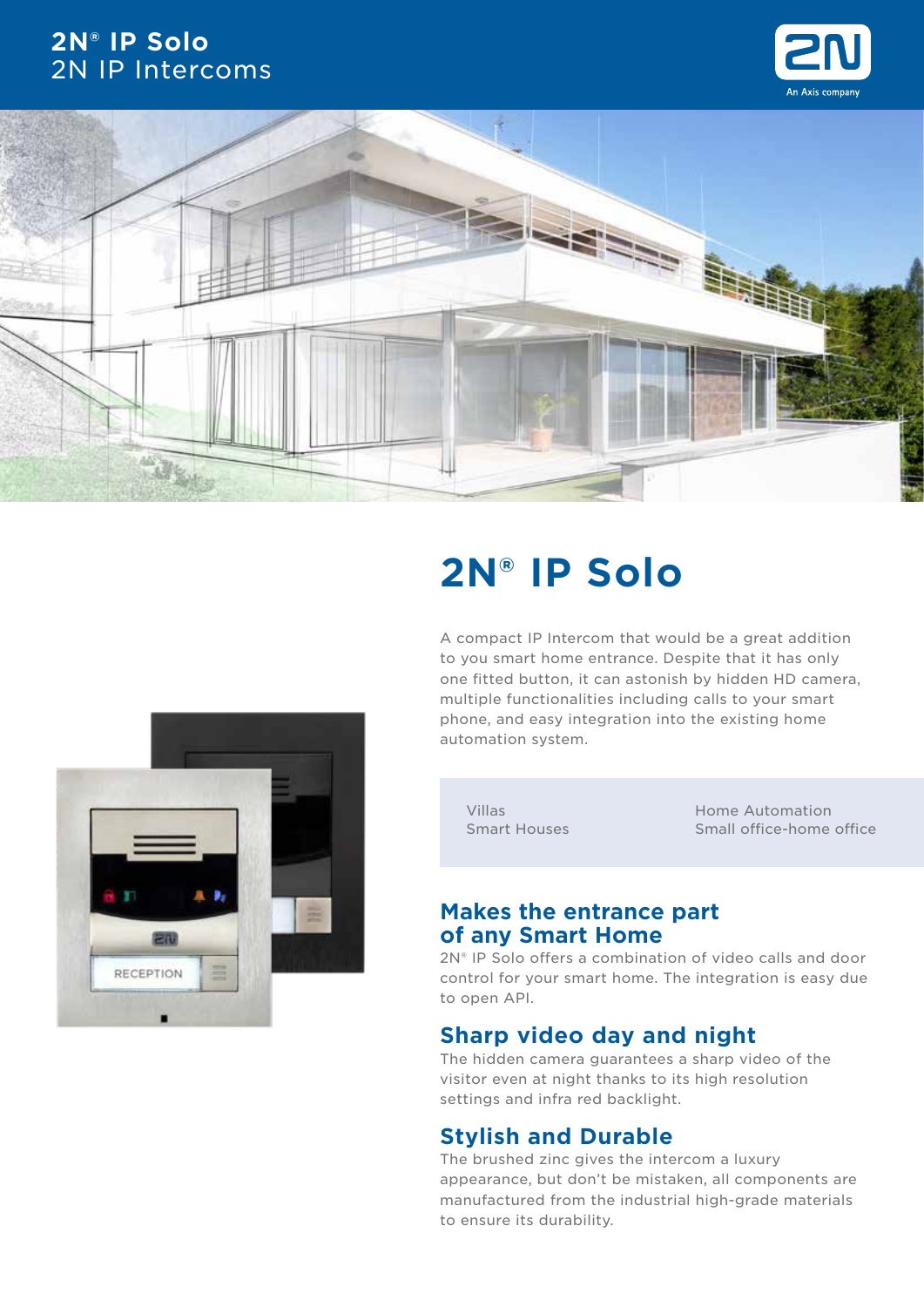## **2N® IP Solo** 2N IP Intercoms







# **2N® IP Solo**

A compact IP Intercom that would be a great addition to you smart home entrance. Despite that it has only one fitted button, it can astonish by hidden HD camera, multiple functionalities including calls to your smart phone, and easy integration into the existing home automation system.

Villas Smart Houses Home Automation Small office-home office

### **Makes the entrance part of any Smart Home**

2N® IP Solo offers a combination of video calls and door control for your smart home. The integration is easy due to open API.

### **Sharp video day and night**

The hidden camera guarantees a sharp video of the visitor even at night thanks to its high resolution settings and infra red backlight.

## **Stylish and Durable**

The brushed zinc gives the intercom a luxury appearance, but don't be mistaken, all components are manufactured from the industrial high-grade materials to ensure its durability.